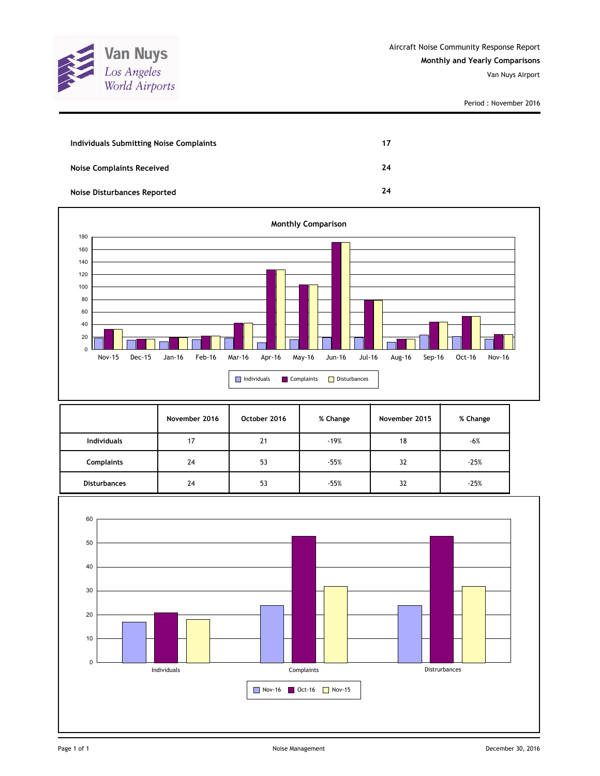

Period : November 2016

| Individuals Submitting Noise Complaints | 17 |
|-----------------------------------------|----|
| <b>Noise Complaints Received</b>        | 24 |
| Noise Disturbances Reported             | 24 |



|                     | November 2016 | October 2016 | % Change | November 2015 | % Change |
|---------------------|---------------|--------------|----------|---------------|----------|
| <b>Individuals</b>  | 17            | 21           | $-19%$   | 18            | $-6%$    |
| <b>Complaints</b>   | 24            | 53           | $-55%$   | 32            | $-25%$   |
| <b>Disturbances</b> | 24            | 53           | $-55%$   | 32            | $-25%$   |

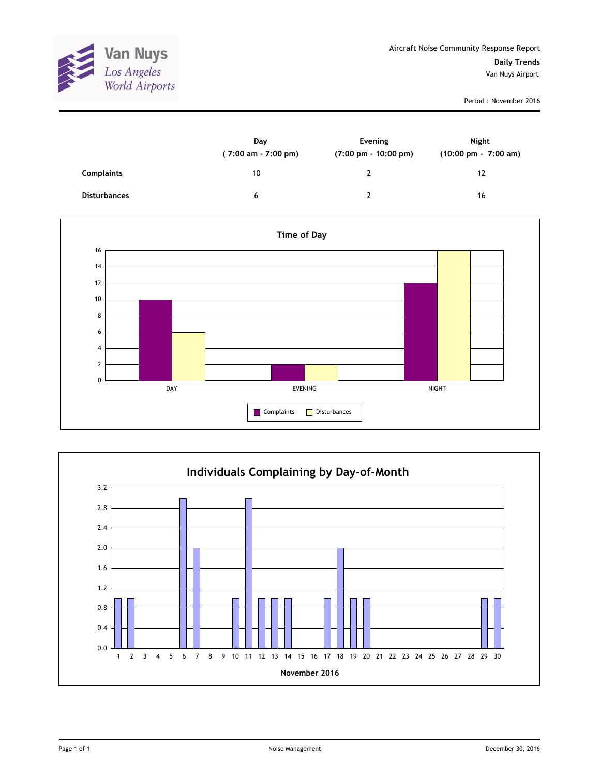

Period : November 2016

|                     | Day<br>$(7:00 \text{ am} - 7:00 \text{ pm})$ | Evening<br>$(7:00 \text{ pm} - 10:00 \text{ pm})$ | <b>Night</b><br>(10:00 pm - 7:00 am) |
|---------------------|----------------------------------------------|---------------------------------------------------|--------------------------------------|
| Complaints          | 10                                           | າ                                                 | 12                                   |
| <b>Disturbances</b> | 6                                            | າ                                                 | 16                                   |



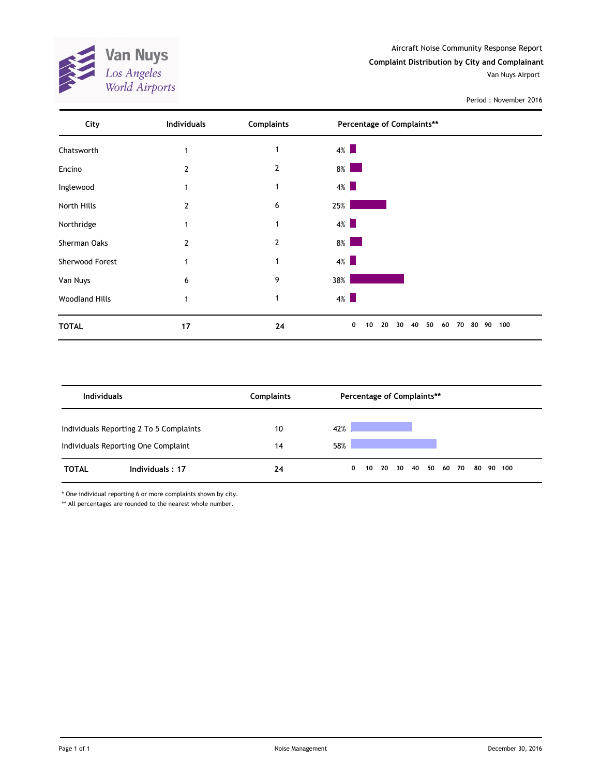**Van Nuys**<br>Los Angeles<br>World Airports **TTT** 

Period : November 2016

| City                  | Individuals | <b>Complaints</b> | Percentage of Complaints**                                  |
|-----------------------|-------------|-------------------|-------------------------------------------------------------|
| Chatsworth            |             | 1                 | $4\%$                                                       |
| Encino                | 2           | $\overline{2}$    | $8\%$<br><b>Service Service</b>                             |
| Inglewood             |             | 1                 | $4\%$                                                       |
| North Hills           | 2           | 6                 | 25%                                                         |
| Northridge            | 1           | 1                 | $4\%$                                                       |
| Sherman Oaks          | 2           | $\overline{2}$    | $8\%$                                                       |
| Sherwood Forest       |             | -1                | $4\%$                                                       |
| Van Nuys              | 6           | 9                 | 38%                                                         |
| <b>Woodland Hills</b> | 1           |                   | $4\%$                                                       |
| <b>TOTAL</b>          | 17          | 24                | 0<br>50<br>100<br>10<br>20<br>40<br>60<br>80 90<br>30<br>70 |

| <b>Individuals</b> |                                                                                | <b>Complaints</b> |            |              |  | Percentage of Complaints** |  |  |           |  |
|--------------------|--------------------------------------------------------------------------------|-------------------|------------|--------------|--|----------------------------|--|--|-----------|--|
|                    | Individuals Reporting 2 To 5 Complaints<br>Individuals Reporting One Complaint | 10<br>14          | 42%<br>58% |              |  |                            |  |  |           |  |
| <b>TOTAL</b>       | Individuals: 17                                                                | 24                |            | $\mathbf{0}$ |  | 10 20 30 40 50 60 70       |  |  | 80 90 100 |  |

\* One individual reporting 6 or more complaints shown by city.

\*\* All percentages are rounded to the nearest whole number.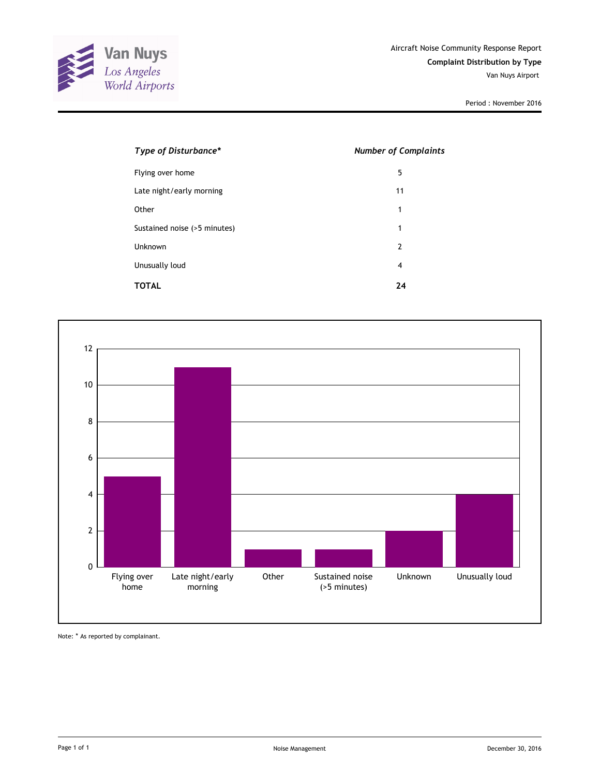

Period : November 2016

| Type of Disturbance*         | <b>Number of Complaints</b> |
|------------------------------|-----------------------------|
| Flying over home             | 5                           |
| Late night/early morning     | 11                          |
| Other                        | 1                           |
| Sustained noise (>5 minutes) | 1                           |
| Unknown                      | 2                           |
| Unusually loud               | 4                           |
| TOTAL                        | 24                          |



Note: \* As reported by complainant.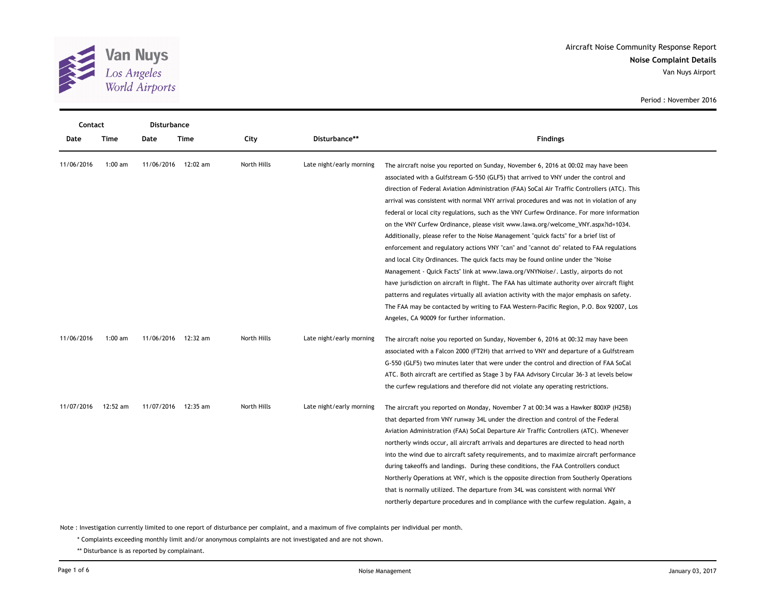

**Noise Complaint Details** Aircraft Noise Community Response Report Van Nuys Airport

| Contact    |           | Disturbance |          |             |                          |                                                                                              |
|------------|-----------|-------------|----------|-------------|--------------------------|----------------------------------------------------------------------------------------------|
| Date       | Time      | Date        | Time     | City        | Disturbance**            | <b>Findings</b>                                                                              |
| 11/06/2016 | $1:00$ am | 11/06/2016  | 12:02 am | North Hills | Late night/early morning | The aircraft noise you reported on Sunday, November 6, 2016 at 00:02 may have been           |
|            |           |             |          |             |                          | associated with a Gulfstream G-550 (GLF5) that arrived to VNY under the control and          |
|            |           |             |          |             |                          | direction of Federal Aviation Administration (FAA) SoCal Air Traffic Controllers (ATC). This |
|            |           |             |          |             |                          | arrival was consistent with normal VNY arrival procedures and was not in violation of any    |
|            |           |             |          |             |                          | federal or local city regulations, such as the VNY Curfew Ordinance. For more information    |
|            |           |             |          |             |                          | on the VNY Curfew Ordinance, please visit www.lawa.org/welcome_VNY.aspx?id=1034.             |
|            |           |             |          |             |                          | Additionally, please refer to the Noise Management "quick facts" for a brief list of         |
|            |           |             |          |             |                          | enforcement and regulatory actions VNY "can" and "cannot do" related to FAA regulations      |
|            |           |             |          |             |                          | and local City Ordinances. The quick facts may be found online under the "Noise"             |
|            |           |             |          |             |                          | Management - Quick Facts" link at www.lawa.org/VNYNoise/. Lastly, airports do not            |
|            |           |             |          |             |                          | have jurisdiction on aircraft in flight. The FAA has ultimate authority over aircraft flight |
|            |           |             |          |             |                          | patterns and regulates virtually all aviation activity with the major emphasis on safety.    |
|            |           |             |          |             |                          | The FAA may be contacted by writing to FAA Western-Pacific Region, P.O. Box 92007, Los       |
|            |           |             |          |             |                          | Angeles, CA 90009 for further information.                                                   |
| 11/06/2016 | $1:00$ am | 11/06/2016  | 12:32 am | North Hills | Late night/early morning | The aircraft noise you reported on Sunday, November 6, 2016 at 00:32 may have been           |
|            |           |             |          |             |                          | associated with a Falcon 2000 (FT2H) that arrived to VNY and departure of a Gulfstream       |
|            |           |             |          |             |                          | G-550 (GLF5) two minutes later that were under the control and direction of FAA SoCal        |
|            |           |             |          |             |                          | ATC. Both aircraft are certified as Stage 3 by FAA Advisory Circular 36-3 at levels below    |
|            |           |             |          |             |                          | the curfew regulations and therefore did not violate any operating restrictions.             |
| 11/07/2016 | 12:52 am  | 11/07/2016  | 12:35 am | North Hills | Late night/early morning | The aircraft you reported on Monday, November 7 at 00:34 was a Hawker 800XP (H25B)           |
|            |           |             |          |             |                          | that departed from VNY runway 34L under the direction and control of the Federal             |
|            |           |             |          |             |                          | Aviation Administration (FAA) SoCal Departure Air Traffic Controllers (ATC). Whenever        |
|            |           |             |          |             |                          | northerly winds occur, all aircraft arrivals and departures are directed to head north       |
|            |           |             |          |             |                          | into the wind due to aircraft safety requirements, and to maximize aircraft performance      |
|            |           |             |          |             |                          | during takeoffs and landings. During these conditions, the FAA Controllers conduct           |
|            |           |             |          |             |                          | Northerly Operations at VNY, which is the opposite direction from Southerly Operations       |
|            |           |             |          |             |                          | that is normally utilized. The departure from 34L was consistent with normal VNY             |
|            |           |             |          |             |                          | northerly departure procedures and in compliance with the curfew regulation. Again, a        |

Period : November 2016

Note : Investigation currently limited to one report of disturbance per complaint, and a maximum of five complaints per individual per month.

\* Complaints exceeding monthly limit and/or anonymous complaints are not investigated and are not shown.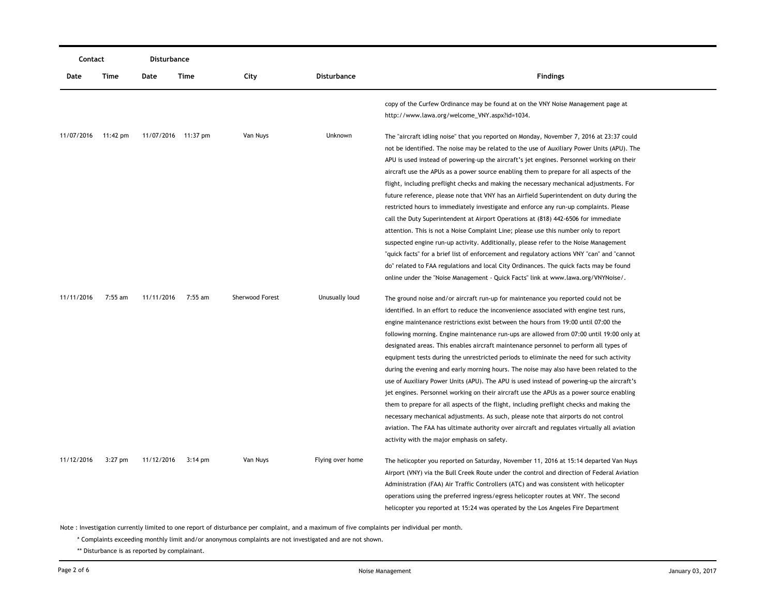| Contact    |           | <b>Disturbance</b> |                     |                 |                  |                                                                                                                                                                                                                                                                                                                                                                                                                                                                                                                                                                                                                                                                                                                                                                                                                                                                                                                                                                                                                                                                                                                                                                                                                   |
|------------|-----------|--------------------|---------------------|-----------------|------------------|-------------------------------------------------------------------------------------------------------------------------------------------------------------------------------------------------------------------------------------------------------------------------------------------------------------------------------------------------------------------------------------------------------------------------------------------------------------------------------------------------------------------------------------------------------------------------------------------------------------------------------------------------------------------------------------------------------------------------------------------------------------------------------------------------------------------------------------------------------------------------------------------------------------------------------------------------------------------------------------------------------------------------------------------------------------------------------------------------------------------------------------------------------------------------------------------------------------------|
| Date       | Time      | Date               | Time                | City            | Disturbance      | <b>Findings</b>                                                                                                                                                                                                                                                                                                                                                                                                                                                                                                                                                                                                                                                                                                                                                                                                                                                                                                                                                                                                                                                                                                                                                                                                   |
|            |           |                    |                     |                 |                  | copy of the Curfew Ordinance may be found at on the VNY Noise Management page at<br>http://www.lawa.org/welcome_VNY.aspx?id=1034.                                                                                                                                                                                                                                                                                                                                                                                                                                                                                                                                                                                                                                                                                                                                                                                                                                                                                                                                                                                                                                                                                 |
| 11/07/2016 | 11:42 pm  |                    | 11/07/2016 11:37 pm | Van Nuys        | Unknown          | The "aircraft idling noise" that you reported on Monday, November 7, 2016 at 23:37 could<br>not be identified. The noise may be related to the use of Auxiliary Power Units (APU). The<br>APU is used instead of powering-up the aircraft's jet engines. Personnel working on their<br>aircraft use the APUs as a power source enabling them to prepare for all aspects of the<br>flight, including preflight checks and making the necessary mechanical adjustments. For<br>future reference, please note that VNY has an Airfield Superintendent on duty during the<br>restricted hours to immediately investigate and enforce any run-up complaints. Please<br>call the Duty Superintendent at Airport Operations at (818) 442-6506 for immediate<br>attention. This is not a Noise Complaint Line; please use this number only to report<br>suspected engine run-up activity. Additionally, please refer to the Noise Management<br>"quick facts" for a brief list of enforcement and regulatory actions VNY "can" and "cannot<br>do" related to FAA regulations and local City Ordinances. The quick facts may be found<br>online under the "Noise Management - Quick Facts" link at www.lawa.org/VNYNoise/. |
| 11/11/2016 | 7:55 am   | 11/11/2016         | 7:55 am             | Sherwood Forest | Unusually loud   | The ground noise and/or aircraft run-up for maintenance you reported could not be<br>identified. In an effort to reduce the inconvenience associated with engine test runs,<br>engine maintenance restrictions exist between the hours from 19:00 until 07:00 the<br>following morning. Engine maintenance run-ups are allowed from 07:00 until 19:00 only at<br>designated areas. This enables aircraft maintenance personnel to perform all types of<br>equipment tests during the unrestricted periods to eliminate the need for such activity<br>during the evening and early morning hours. The noise may also have been related to the<br>use of Auxiliary Power Units (APU). The APU is used instead of powering-up the aircraft's<br>jet engines. Personnel working on their aircraft use the APUs as a power source enabling<br>them to prepare for all aspects of the flight, including preflight checks and making the<br>necessary mechanical adjustments. As such, please note that airports do not control<br>aviation. The FAA has ultimate authority over aircraft and regulates virtually all aviation<br>activity with the major emphasis on safety.                                            |
| 11/12/2016 | $3:27$ pm | 11/12/2016         | $3:14 \text{ pm}$   | Van Nuys        | Flying over home | The helicopter you reported on Saturday, November 11, 2016 at 15:14 departed Van Nuys<br>Airport (VNY) via the Bull Creek Route under the control and direction of Federal Aviation<br>Administration (FAA) Air Traffic Controllers (ATC) and was consistent with helicopter<br>operations using the preferred ingress/egress helicopter routes at VNY. The second<br>helicopter you reported at 15:24 was operated by the Los Angeles Fire Department                                                                                                                                                                                                                                                                                                                                                                                                                                                                                                                                                                                                                                                                                                                                                            |

\* Complaints exceeding monthly limit and/or anonymous complaints are not investigated and are not shown.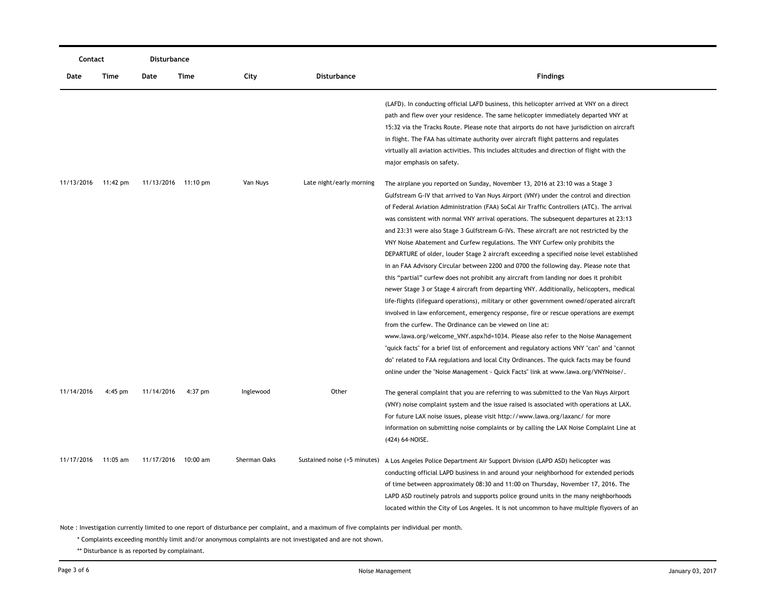| Contact    |           | Disturbance         |          |              |                              |                                                                                                                                                                                                                                                                                                                                                                                                                                                                                                                                                                                                                                                                                                                                                                                                                                                                                                                                                                                                                                                                                                                                                                                                                                                                                                                                                                                                                                                                                                                                         |  |  |
|------------|-----------|---------------------|----------|--------------|------------------------------|-----------------------------------------------------------------------------------------------------------------------------------------------------------------------------------------------------------------------------------------------------------------------------------------------------------------------------------------------------------------------------------------------------------------------------------------------------------------------------------------------------------------------------------------------------------------------------------------------------------------------------------------------------------------------------------------------------------------------------------------------------------------------------------------------------------------------------------------------------------------------------------------------------------------------------------------------------------------------------------------------------------------------------------------------------------------------------------------------------------------------------------------------------------------------------------------------------------------------------------------------------------------------------------------------------------------------------------------------------------------------------------------------------------------------------------------------------------------------------------------------------------------------------------------|--|--|
| Date       | Time      | Date                | Time     | City         | <b>Disturbance</b>           | <b>Findings</b>                                                                                                                                                                                                                                                                                                                                                                                                                                                                                                                                                                                                                                                                                                                                                                                                                                                                                                                                                                                                                                                                                                                                                                                                                                                                                                                                                                                                                                                                                                                         |  |  |
|            |           |                     |          |              |                              | (LAFD). In conducting official LAFD business, this helicopter arrived at VNY on a direct<br>path and flew over your residence. The same helicopter immediately departed VNY at<br>15:32 via the Tracks Route. Please note that airports do not have jurisdiction on aircraft<br>in flight. The FAA has ultimate authority over aircraft flight patterns and regulates<br>virtually all aviation activities. This includes altitudes and direction of flight with the<br>major emphasis on safety.                                                                                                                                                                                                                                                                                                                                                                                                                                                                                                                                                                                                                                                                                                                                                                                                                                                                                                                                                                                                                                       |  |  |
| 11/13/2016 | 11:42 pm  | 11/13/2016 11:10 pm |          | Van Nuys     | Late night/early morning     | The airplane you reported on Sunday, November 13, 2016 at 23:10 was a Stage 3<br>Gulfstream G-IV that arrived to Van Nuys Airport (VNY) under the control and direction<br>of Federal Aviation Administration (FAA) SoCal Air Traffic Controllers (ATC). The arrival<br>was consistent with normal VNY arrival operations. The subsequent departures at 23:13<br>and 23:31 were also Stage 3 Gulfstream G-IVs. These aircraft are not restricted by the<br>VNY Noise Abatement and Curfew regulations. The VNY Curfew only prohibits the<br>DEPARTURE of older, louder Stage 2 aircraft exceeding a specified noise level established<br>in an FAA Advisory Circular between 2200 and 0700 the following day. Please note that<br>this "partial" curfew does not prohibit any aircraft from landing nor does it prohibit<br>newer Stage 3 or Stage 4 aircraft from departing VNY. Additionally, helicopters, medical<br>life-flights (lifeguard operations), military or other government owned/operated aircraft<br>involved in law enforcement, emergency response, fire or rescue operations are exempt<br>from the curfew. The Ordinance can be viewed on line at:<br>www.lawa.org/welcome_VNY.aspx?id=1034. Please also refer to the Noise Management<br>"quick facts" for a brief list of enforcement and regulatory actions VNY "can" and "cannot<br>do" related to FAA regulations and local City Ordinances. The quick facts may be found<br>online under the "Noise Management - Quick Facts" link at www.lawa.org/VNYNoise/. |  |  |
| 11/14/2016 | $4:45$ pm | 11/14/2016          | 4:37 pm  | Inglewood    | Other                        | The general complaint that you are referring to was submitted to the Van Nuys Airport<br>(VNY) noise complaint system and the issue raised is associated with operations at LAX.<br>For future LAX noise issues, please visit http://www.lawa.org/laxanc/ for more<br>information on submitting noise complaints or by calling the LAX Noise Complaint Line at<br>(424) 64-NOISE.                                                                                                                                                                                                                                                                                                                                                                                                                                                                                                                                                                                                                                                                                                                                                                                                                                                                                                                                                                                                                                                                                                                                                       |  |  |
| 11/17/2016 | 11:05 am  | 11/17/2016          | 10:00 am | Sherman Oaks | Sustained noise (>5 minutes) | A Los Angeles Police Department Air Support Division (LAPD ASD) helicopter was<br>conducting official LAPD business in and around your neighborhood for extended periods<br>of time between approximately 08:30 and 11:00 on Thursday, November 17, 2016. The<br>LAPD ASD routinely patrols and supports police ground units in the many neighborhoods<br>located within the City of Los Angeles. It is not uncommon to have multiple flyovers of an                                                                                                                                                                                                                                                                                                                                                                                                                                                                                                                                                                                                                                                                                                                                                                                                                                                                                                                                                                                                                                                                                    |  |  |

\* Complaints exceeding monthly limit and/or anonymous complaints are not investigated and are not shown.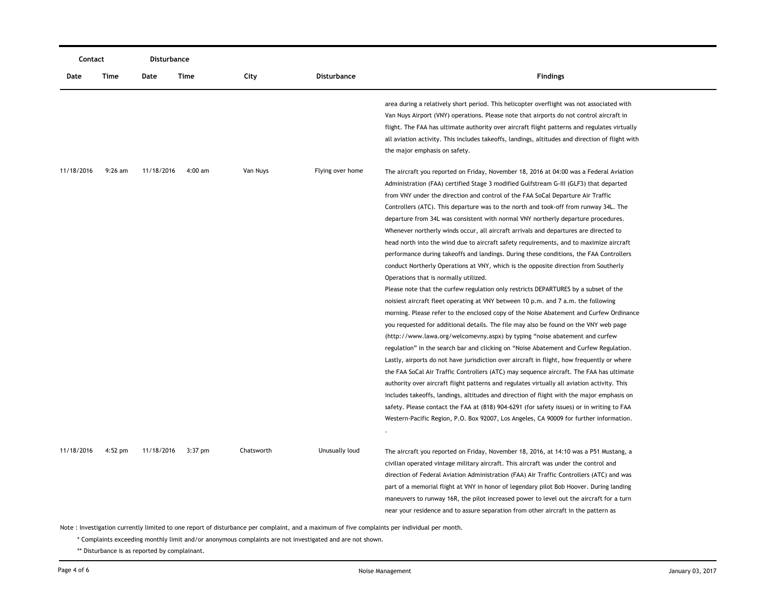| Contact    |           | <b>Disturbance</b> |           |            |                  |                                                                                                                                                                                                                                                                                                                                                                                                                                                                                                                                                                                                                                                                                                                                                                                                                                                                                                                                                                                                                                                                                                                                                                                                                                                                                                                                                                                                                                                                                                                                                                                                                                                                                                                                                                                                                                                                                                                                                                               |
|------------|-----------|--------------------|-----------|------------|------------------|-------------------------------------------------------------------------------------------------------------------------------------------------------------------------------------------------------------------------------------------------------------------------------------------------------------------------------------------------------------------------------------------------------------------------------------------------------------------------------------------------------------------------------------------------------------------------------------------------------------------------------------------------------------------------------------------------------------------------------------------------------------------------------------------------------------------------------------------------------------------------------------------------------------------------------------------------------------------------------------------------------------------------------------------------------------------------------------------------------------------------------------------------------------------------------------------------------------------------------------------------------------------------------------------------------------------------------------------------------------------------------------------------------------------------------------------------------------------------------------------------------------------------------------------------------------------------------------------------------------------------------------------------------------------------------------------------------------------------------------------------------------------------------------------------------------------------------------------------------------------------------------------------------------------------------------------------------------------------------|
| Date       | Time      | Date               | Time      | City       | Disturbance      | <b>Findings</b>                                                                                                                                                                                                                                                                                                                                                                                                                                                                                                                                                                                                                                                                                                                                                                                                                                                                                                                                                                                                                                                                                                                                                                                                                                                                                                                                                                                                                                                                                                                                                                                                                                                                                                                                                                                                                                                                                                                                                               |
|            |           |                    |           |            |                  | area during a relatively short period. This helicopter overflight was not associated with<br>Van Nuys Airport (VNY) operations. Please note that airports do not control aircraft in<br>flight. The FAA has ultimate authority over aircraft flight patterns and regulates virtually<br>all aviation activity. This includes takeoffs, landings, altitudes and direction of flight with                                                                                                                                                                                                                                                                                                                                                                                                                                                                                                                                                                                                                                                                                                                                                                                                                                                                                                                                                                                                                                                                                                                                                                                                                                                                                                                                                                                                                                                                                                                                                                                       |
|            |           |                    |           |            |                  | the major emphasis on safety.                                                                                                                                                                                                                                                                                                                                                                                                                                                                                                                                                                                                                                                                                                                                                                                                                                                                                                                                                                                                                                                                                                                                                                                                                                                                                                                                                                                                                                                                                                                                                                                                                                                                                                                                                                                                                                                                                                                                                 |
| 11/18/2016 | $9:26$ am | 11/18/2016         | $4:00$ am | Van Nuys   | Flying over home | The aircraft you reported on Friday, November 18, 2016 at 04:00 was a Federal Aviation<br>Administration (FAA) certified Stage 3 modified Gulfstream G-III (GLF3) that departed<br>from VNY under the direction and control of the FAA SoCal Departure Air Traffic<br>Controllers (ATC). This departure was to the north and took-off from runway 34L. The<br>departure from 34L was consistent with normal VNY northerly departure procedures.<br>Whenever northerly winds occur, all aircraft arrivals and departures are directed to<br>head north into the wind due to aircraft safety requirements, and to maximize aircraft<br>performance during takeoffs and landings. During these conditions, the FAA Controllers<br>conduct Northerly Operations at VNY, which is the opposite direction from Southerly<br>Operations that is normally utilized.<br>Please note that the curfew regulation only restricts DEPARTURES by a subset of the<br>noisiest aircraft fleet operating at VNY between 10 p.m. and 7 a.m. the following<br>morning. Please refer to the enclosed copy of the Noise Abatement and Curfew Ordinance<br>you requested for additional details. The file may also be found on the VNY web page<br>(http://www.lawa.org/welcomevny.aspx) by typing "noise abatement and curfew<br>regulation" in the search bar and clicking on "Noise Abatement and Curfew Regulation.<br>Lastly, airports do not have jurisdiction over aircraft in flight, how frequently or where<br>the FAA SoCal Air Traffic Controllers (ATC) may sequence aircraft. The FAA has ultimate<br>authority over aircraft flight patterns and regulates virtually all aviation activity. This<br>includes takeoffs, landings, altitudes and direction of flight with the major emphasis on<br>safety. Please contact the FAA at (818) 904-6291 (for safety issues) or in writing to FAA<br>Western-Pacific Region, P.O. Box 92007, Los Angeles, CA 90009 for further information. |
| 11/18/2016 | $4:52$ pm | 11/18/2016         | $3:37$ pm | Chatsworth | Unusually loud   | The aircraft you reported on Friday, November 18, 2016, at 14:10 was a P51 Mustang, a<br>civilian operated vintage military aircraft. This aircraft was under the control and<br>direction of Federal Aviation Administration (FAA) Air Traffic Controllers (ATC) and was<br>part of a memorial flight at VNY in honor of legendary pilot Bob Hoover. During landing<br>maneuvers to runway 16R, the pilot increased power to level out the aircraft for a turn<br>near your residence and to assure separation from other aircraft in the pattern as                                                                                                                                                                                                                                                                                                                                                                                                                                                                                                                                                                                                                                                                                                                                                                                                                                                                                                                                                                                                                                                                                                                                                                                                                                                                                                                                                                                                                         |

\* Complaints exceeding monthly limit and/or anonymous complaints are not investigated and are not shown.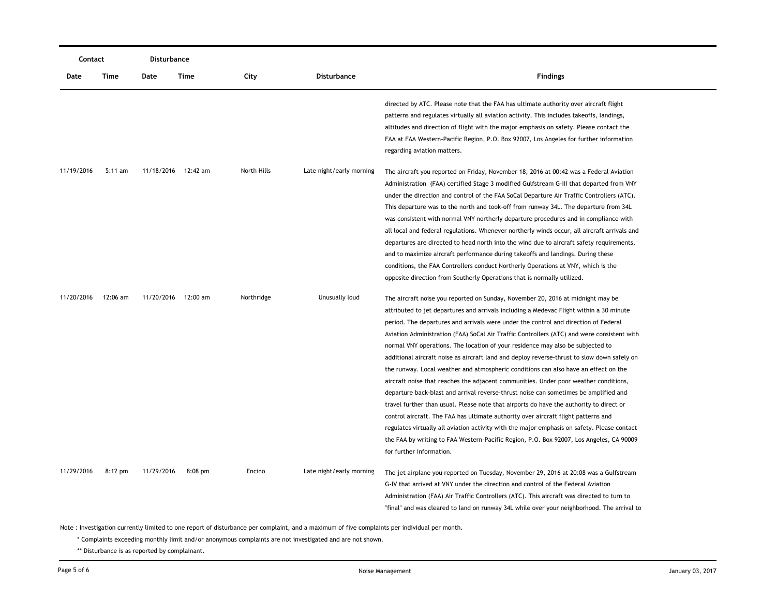| Contact    |           | Disturbance |                     |             |                          |                                                                                                                                                                                                                                                                                                                                                                                                                                                                                                                                                                                                                                                                                                                                                                                                                                                                                                                                                                                                                                                                                                                                                                                                                                |  |  |
|------------|-----------|-------------|---------------------|-------------|--------------------------|--------------------------------------------------------------------------------------------------------------------------------------------------------------------------------------------------------------------------------------------------------------------------------------------------------------------------------------------------------------------------------------------------------------------------------------------------------------------------------------------------------------------------------------------------------------------------------------------------------------------------------------------------------------------------------------------------------------------------------------------------------------------------------------------------------------------------------------------------------------------------------------------------------------------------------------------------------------------------------------------------------------------------------------------------------------------------------------------------------------------------------------------------------------------------------------------------------------------------------|--|--|
| Date       | Time      | Date        | Time                | City        | <b>Disturbance</b>       | <b>Findings</b>                                                                                                                                                                                                                                                                                                                                                                                                                                                                                                                                                                                                                                                                                                                                                                                                                                                                                                                                                                                                                                                                                                                                                                                                                |  |  |
|            |           |             |                     |             |                          | directed by ATC. Please note that the FAA has ultimate authority over aircraft flight<br>patterns and regulates virtually all aviation activity. This includes takeoffs, landings,<br>altitudes and direction of flight with the major emphasis on safety. Please contact the<br>FAA at FAA Western-Pacific Region, P.O. Box 92007, Los Angeles for further information<br>regarding aviation matters.                                                                                                                                                                                                                                                                                                                                                                                                                                                                                                                                                                                                                                                                                                                                                                                                                         |  |  |
| 11/19/2016 | $5:11$ am |             | 11/18/2016 12:42 am | North Hills | Late night/early morning | The aircraft you reported on Friday, November 18, 2016 at 00:42 was a Federal Aviation<br>Administration (FAA) certified Stage 3 modified Gulfstream G-III that departed from VNY<br>under the direction and control of the FAA SoCal Departure Air Traffic Controllers (ATC).<br>This departure was to the north and took-off from runway 34L. The departure from 34L<br>was consistent with normal VNY northerly departure procedures and in compliance with<br>all local and federal regulations. Whenever northerly winds occur, all aircraft arrivals and<br>departures are directed to head north into the wind due to aircraft safety requirements,<br>and to maximize aircraft performance during takeoffs and landings. During these<br>conditions, the FAA Controllers conduct Northerly Operations at VNY, which is the<br>opposite direction from Southerly Operations that is normally utilized.                                                                                                                                                                                                                                                                                                                  |  |  |
| 11/20/2016 | 12:06 am  |             | 11/20/2016 12:00 am | Northridge  | Unusually loud           | The aircraft noise you reported on Sunday, November 20, 2016 at midnight may be<br>attributed to jet departures and arrivals including a Medevac Flight within a 30 minute<br>period. The departures and arrivals were under the control and direction of Federal<br>Aviation Administration (FAA) SoCal Air Traffic Controllers (ATC) and were consistent with<br>normal VNY operations. The location of your residence may also be subjected to<br>additional aircraft noise as aircraft land and deploy reverse-thrust to slow down safely on<br>the runway. Local weather and atmospheric conditions can also have an effect on the<br>aircraft noise that reaches the adjacent communities. Under poor weather conditions,<br>departure back-blast and arrival reverse-thrust noise can sometimes be amplified and<br>travel further than usual. Please note that airports do have the authority to direct or<br>control aircraft. The FAA has ultimate authority over aircraft flight patterns and<br>regulates virtually all aviation activity with the major emphasis on safety. Please contact<br>the FAA by writing to FAA Western-Pacific Region, P.O. Box 92007, Los Angeles, CA 90009<br>for further information. |  |  |
| 11/29/2016 | $8:12$ pm | 11/29/2016  | $8:08$ pm           | Encino      | Late night/early morning | The jet airplane you reported on Tuesday, November 29, 2016 at 20:08 was a Gulfstream<br>G-IV that arrived at VNY under the direction and control of the Federal Aviation<br>Administration (FAA) Air Traffic Controllers (ATC). This aircraft was directed to turn to<br>"final" and was cleared to land on runway 34L while over your neighborhood. The arrival to                                                                                                                                                                                                                                                                                                                                                                                                                                                                                                                                                                                                                                                                                                                                                                                                                                                           |  |  |

\* Complaints exceeding monthly limit and/or anonymous complaints are not investigated and are not shown.